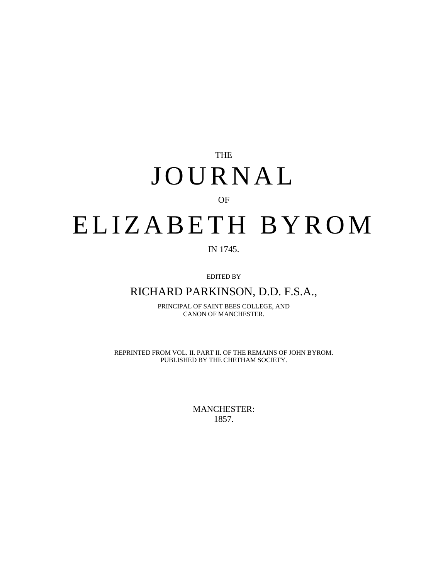THE

# **JOURNAL**

#### OF

# ELIZABETH BYROM

IN 1745.

EDITED BY

# RICHARD PARKINSON, D.D. F.S.A.,

PRINCIPAL OF SAINT BEES COLLEGE, AND CANON OF MANCHESTER.

REPRINTED FROM VOL. II. PART II. OF THE REMAINS OF JOHN BYROM. PUBLISHED BY THE CHETHAM SOCIETY.

> MANCHESTER: 1857.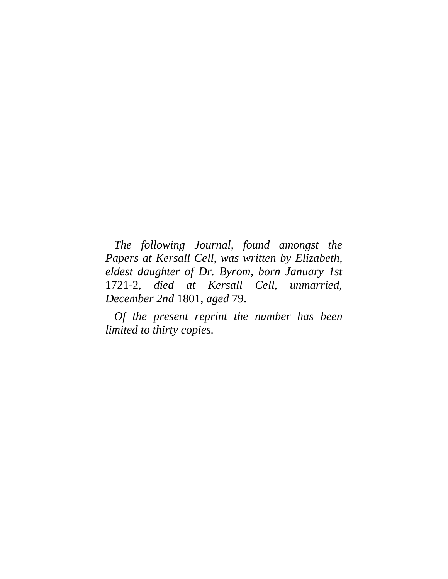*The following Journal, found amongst the Papers at Kersall Cell, was written by Elizabeth, eldest daughter of Dr. Byrom, born January 1st*  1721-2, *died at Kersall Cell, unmarried, December 2nd* 1801, *aged* 79.

*Of the present reprint the number has been limited to thirty copies.*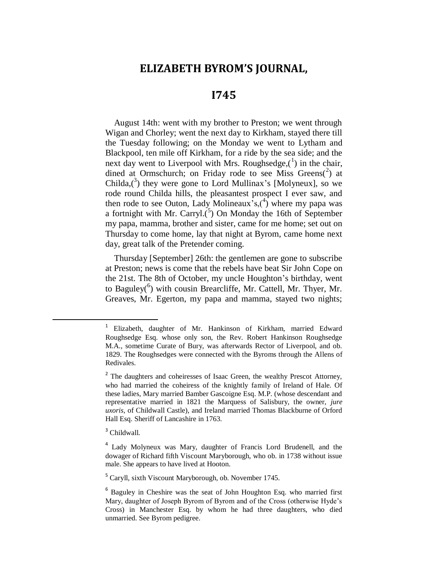# **ELIZABETH BYROM'S JOURNAL,**

## **I745**

August 14th: went with my brother to Preston; we went through Wigan and Chorley; went the next day to Kirkham, stayed there till the Tuesday following; on the Monday we went to Lytham and Blackpool, ten mile off Kirkham, for a ride by the sea side; and the next day went to Liverpool with Mrs. Roughsedge, $(^1)$  in the chair, dined at Ormschurch; on Friday rode to see Miss Greens $(^2)$  at Childa, $(^3)$  they were gone to Lord Mullinax's [Molyneux], so we rode round Childa hills, the pleasantest prospect I ever saw, and then rode to see Outon, Lady Molineaux  $s<sub>1</sub>(4)$  where my papa was a fortnight with Mr. Carryl. $(\frac{5}{2})$  On Monday the 16th of September my papa, mamma, brother and sister, came for me home; set out on Thursday to come home, lay that night at Byrom, came home next day, great talk of the Pretender coming.

Thursday [September] 26th: the gentlemen are gone to subscribe at Preston; news is come that the rebels have beat Sir John Cope on the 21st. The 8th of October, my uncle Houghton"s birthday, went to Baguley( ${}^{6}$ ) with cousin Brearcliffe, Mr. Cattell, Mr. Thyer, Mr. Greaves, Mr. Egerton, my papa and mamma, stayed two nights;

<sup>3</sup> Childwall.

 $\overline{a}$ 

<sup>&</sup>lt;sup>1</sup> Elizabeth, daughter of Mr. Hankinson of Kirkham, married Edward Roughsedge Esq. whose only son, the Rev. Robert Hankinson Roughsedge M.A., sometime Curate of Bury, was afterwards Rector of Liverpool, and ob. 1829. The Roughsedges were connected with the Byroms through the Allens of Redivales.

<sup>&</sup>lt;sup>2</sup> The daughters and coheiresses of Isaac Green, the wealthy Prescot Attorney, who had married the coheiress of the knightly family of Ireland of Hale. Of these ladies, Mary married Bamber Gascoigne Esq. M.P. (whose descendant and representative married in 1821 the Marquess of Salisbury, the owner, *jure uxoris,* of Childwall Castle), and Ireland married Thomas Blackburne of Orford Hall Esq. Sheriff of Lancashire in 1763.

<sup>&</sup>lt;sup>4</sup> Lady Molyneux was Mary, daughter of Francis Lord Brudenell, and the dowager of Richard fifth Viscount Maryborough, who ob. in 1738 without issue male. She appears to have lived at Hooton.

<sup>5</sup> Caryll, sixth Viscount Maryborough, ob. November 1745.

<sup>6</sup> Baguley in Cheshire was the seat of John Houghton Esq. who married first Mary, daughter of Joseph Byrom of Byrom and of the Cross (otherwise Hyde"s Cross) in Manchester Esq. by whom he had three daughters, who died unmarried. See Byrom pedigree.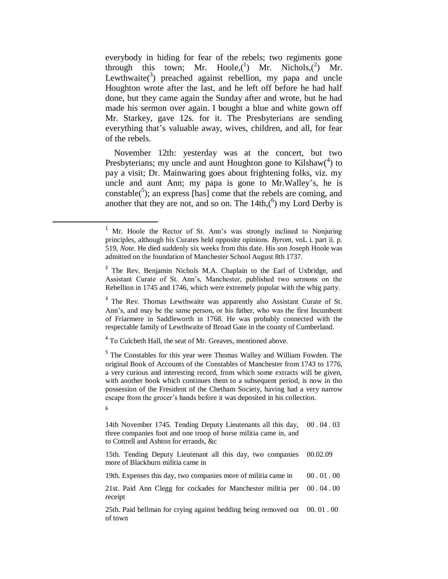everybody in hiding for fear of the rebels; two regiments gone through this town; Mr. Hoole,<sup>(1</sup>) Mr. Nichols,<sup>(2</sup>) Mr. Lewthwaite $(3)$  preached against rebellion, my papa and uncle Houghton wrote after the last, and he left off before he had half done, but they came again the Sunday after and wrote, but he had made his sermon over again. I bought a blue and white gown off Mr. Starkey, gave 12s. for it. The Presbyterians are sending everything that's valuable away, wives, children, and all, for fear of the rebels.

November 12th: yesterday was at the concert, but two Presbyterians; my uncle and aunt Houghton gone to Kilshaw $(4)$  to pay a visit; Dr. Mainwaring goes about frightening folks, viz. my uncle and aunt Ann; my papa is gone to Mr.Walley"s, he is constable( $5$ ); an express [has] come that the rebels are coming, and another that they are not, and so on. The  $14th$ ,  $(6)$  my Lord Derby is

 $\overline{a}$ 

14th November 1745. Tending Deputy Lieutenants all this day, three companies foot and one troop of horse militia came in, and to Cottrell and Ashton for errands, &c 00 . 04 . 03

15th. Tending Deputy Lieutenant all this day, two companies more of Blackburn militia came in 00.02.09

19th. Expenses this day, two companies more of militia came in 00 . 01 . 00

21st. Paid Ann Clegg for cockades for Manchester militia per receipt 00 . 04 . 00

25th. Paid bellman for crying against bedding being removed out 00. 01 . 00of town

<sup>&</sup>lt;sup>1</sup> Mr. Hoole the Rector of St. Ann's was strongly inclined to Nonjuring principles, although his Curates held opposite opinions. *Byrom,* voL i. part ii. p. 519, *Note.* He died suddenly six weeks from this date. His son Joseph Hoole was admitted on the foundation of Manchester School August 8th 1737.

<sup>&</sup>lt;sup>2</sup> The Rev. Benjamin Nichols M.A. Chaplain to the Earl of Uxbridge, and Assistant Curate of St. Ann"s, Manchester, published two sermons on the Rebellion in 1745 and 1746, which were extremely popular with the whig party.

<sup>&</sup>lt;sup>3</sup> The Rev. Thomas Lewthwaite was apparently also Assistant Curate of St. Ann"s, and may be the same person, or his father, who was the first Incumbent of Friarmere in Saddleworth in 1768. He was probably connected with the respectable family of Lewthwaite of Broad Gate in the county of Cumberland.

<sup>&</sup>lt;sup>4</sup> To Culcbeth Hall, the seat of Mr. Greaves, mentioned above.

<sup>&</sup>lt;sup>5</sup> The Constables for this year were Thomas Walley and William Fowden. The original Book of Accounts of the Constables of Manchester from 1743 to 1776, a very curious and interesting record, from which some extracts will be given, with another book which continues them to a subsequent period, is now in tho possession of the Fresident of the Chetham Society, having had a very narrow escape from the grocer"s hands before it was deposited in his collection.

<sup>6</sup>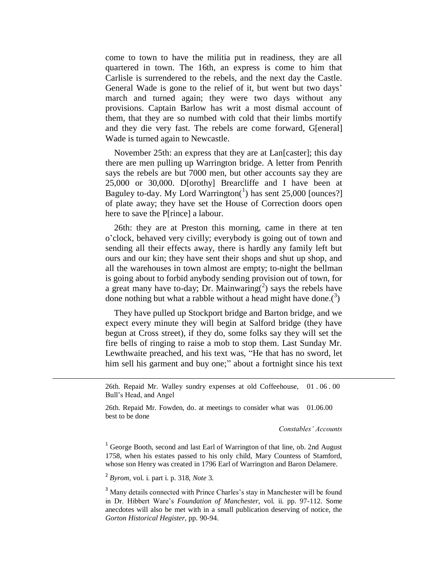come to town to have the militia put in readiness, they are all quartered in town. The 16th, an express is come to him that Carlisle is surrendered to the rebels, and the next day the Castle. General Wade is gone to the relief of it, but went but two days' march and turned again; they were two days without any provisions. Captain Barlow has writ a most dismal account of them, that they are so numbed with cold that their limbs mortify and they die very fast. The rebels are come forward, G[eneral] Wade is turned again to Newcastle.

November 25th: an express that they are at Lan[caster]; this day there are men pulling up Warrington bridge. A letter from Penrith says the rebels are but 7000 men, but other accounts say they are 25,000 or 30,000. D[orothy] Brearcliffe and I have been at Baguley to-day. My Lord Warrington( $\frac{1}{1}$ ) has sent 25,000 [ounces?] of plate away; they have set the House of Correction doors open here to save the P[rince] a labour.

26th: they are at Preston this morning, came in there at ten o"clock, behaved very civilly; everybody is going out of town and sending all their effects away, there is hardly any family left but ours and our kin; they have sent their shops and shut up shop, and all the warehouses in town almost are empty; to-night the bellman is going about to forbid anybody sending provision out of town, for a great many have to-day; Dr. Mainwaring( $^{2}$ ) says the rebels have done nothing but what a rabble without a head might have done. $(3)$ 

They have pulled up Stockport bridge and Barton bridge, and we expect every minute they will begin at Salford bridge (they have begun at Cross street), if they do, some folks say they will set the fire bells of ringing to raise a mob to stop them. Last Sunday Mr. Lewthwaite preached, and his text was, "He that has no sword, let him sell his garment and buy one;" about a fortnight since his text

26th. Repaid Mr. Walley sundry expenses at old Coffeehouse, 01 . 06 . 00 Bull"s Head, and Angel

26th. Repaid Mr. Fowden, do. at meetings to consider what was 01.06.00 best to be done

*Constables' Accounts*

<sup>1</sup> George Booth, second and last Earl of Warrington of that line, ob. 2nd August 1758, when his estates passed to his only child, Mary Countess of Stamford, whose son Henry was created in 1796 Earl of Warrington and Baron Delamere.

2 *Byrom,* vol. i. part i. p. 318, *Note* 3.

l

<sup>3</sup> Many details connected with Prince Charles's stay in Manchester will be found in Dr. Hibbert Ware"s *Foundation of Manchester,* vol. ii. pp. 97-112. Some anecdotes will also be met with in a small publication deserving of notice, the *Gorton Historical Hegister,* pp. 90-94.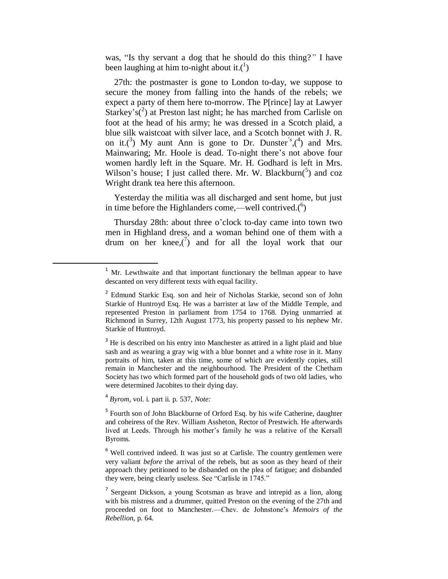was, "Is thy servant a dog that he should do this thing?*"* I have been laughing at him to-night about it. $(1)$ 

27th: the postmaster is gone to London to-day, we suppose to secure the money from falling into the hands of the rebels; we expect a party of them here to-morrow. The P[rince] lay at Lawyer Starkey's( $^{2}$ ) at Preston last night; he has marched from Carlisle on foot at the head of his army; he was dressed in a Scotch plaid, a blue silk waistcoat with silver lace, and a Scotch bonnet with J. R. on it.( $3$ ) My aunt Ann is gone to Dr. Dunster<sup>'s</sup>,( $4$ ) and Mrs. Mainwaring; Mr. Hoole is dead. To-night there's not above four women hardly left in the Square. Mr. H. Godhard is left in Mrs. Wilson's house; I just called there. Mr. W. Blackburn( $5$ ) and coz Wright drank tea here this afternoon.

Yesterday the militia was all discharged and sent home, but just in time before the Highlanders come,—well contrived.(<sup>6</sup>)

Thursday 28th: about three o"clock to-day came into town two men in Highland dress, and a woman behind one of them with a drum on her knee, $\binom{7}{1}$  and for all the loyal work that our

4 *Byrom,* vol. i. part ii. p. 537, *Note:*

 $\overline{a}$ 

<sup>5</sup> Fourth son of John Blackburne of Orford Esq. by his wife Catherine, daughter and coheiress of the Rev. William Assheton, Rector of Prestwich. He afterwards lived at Leeds. Through his mother"s family he was a relative of the Kersall Byroms.

<sup>6</sup> Well contrived indeed. It was just so at Carlisle. The country gentlemen were very valiant *before* the arrival of the rebels, but as soon as they heard of their approach they petitioned to be disbanded on the plea of fatigue; and disbanded they were, being clearly useless. See "Carlisle in 1745."

 $1$  Mr. Lewthwaite and that important functionary the bellman appear to have descanted on very different texts with equal facility.

<sup>&</sup>lt;sup>2</sup> Edmund Starkic Esq. son and heir of Nicholas Starkie, second son of John Starkie of Huntroyd Esq. He was a barrister at law of the Middle Temple, and represented Preston in parliament from 1754 to 1768. Dying unmarried at Richmond in Surrey, 12th August 1773, his property passed to his nephew Mr. Starkie of Huntroyd.

<sup>&</sup>lt;sup>3</sup> He is described on his entry into Manchester as attired in a light plaid and blue sash and as wearing a gray wig with a blue bonnet and a white rose in it. Many portraits of him, taken at this time, some of which are evidently copies, still remain in Manchester and the neighbourhood. The President of the Chetham Society has two which formed part of the household gods of two old ladies, who were determined Jacobites to their dying day.

<sup>&</sup>lt;sup>7</sup> Sergeant Dickson, a young Scotsman as brave and intrepid as a lion, along with bis mistress and a drummer, quitted Preston on the evening of the 27th and proceeded on foot to Manchester.—Chev. de Johnstone"s *Memoirs of the Rebellion,* p. 64.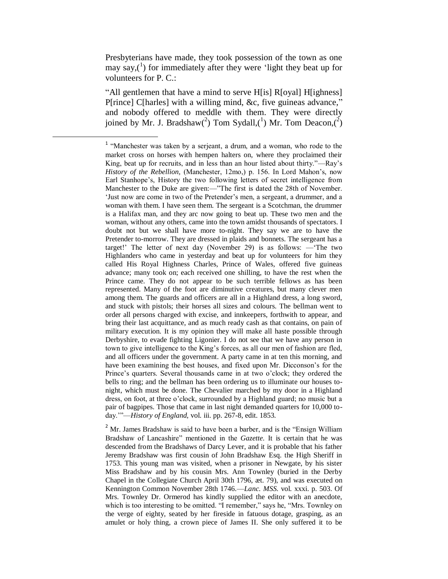Presbyterians have made, they took possession of the town as one may say, $({}^{1})$  for immediately after they were 'light they beat up for volunteers for P. C.:

"All gentlemen that have a mind to serve H[is] R[oyal] H[ighness] P[rince] C[harles] with a willing mind, &c, five guineas advance," and nobody offered to meddle with them. They were directly joined by Mr. J. Bradshaw(2) Tom Sydall,(1) Mr. Tom Deacon,(2)

l

<sup>2</sup> Mr. James Bradshaw is said to have been a barber, and is the "Ensign William" Bradshaw of Lancashire" mentioned in the *Gazette.* It is certain that he was descended from the Bradshaws of Darcy Lever, and it is probable that his father Jeremy Bradshaw was first cousin of John Bradshaw Esq. the High Sheriff in 1753. This young man was visited, when a prisoner in Newgate, by his sister Miss Bradshaw and by his cousin Mrs. Ann Townley (buried in the Derby Chapel in the Collegiate Church April 30th 1796, æt. 79), and was executed on Kennington Common November 28th 1746.—*Lanc. MSS.* vol. xxxi. p. 503. Of Mrs. Townley Dr. Ormerod has kindly supplied the editor with an anecdote, which is too interesting to be omitted. "I remember," says he, "Mrs. Townley on the verge of eighty, seated by her fireside in fatuous dotage, grasping, as an amulet or holy thing, a crown piece of James II. She only suffered it to be

<sup>&</sup>lt;sup>1</sup> "Manchester was taken by a serjeant, a drum, and a woman, who rode to the market cross on horses with hempen halters on, where they proclaimed their King, beat up for recruits, and in less than an hour listed about thirty."—Ray"s *History of the Rebellion,* (Manchester, 12mo,) p. 156. In Lord Mahon"s, now Earl Stanhope"s, History the two following letters of secret intelligence from Manchester to the Duke are given:—"The first is dated the 28th of November. "Just now are come in two of the Pretender"s men, a sergeant, a drummer, and a woman with them. I have seen them. The sergeant is a Scotchman, the drummer is a Halifax man, and they arc now going to beat up. These two men and the woman, without any others, came into the town amidst thousands of spectators. I doubt not but we shall have more to-night. They say we are to have the Pretender to-morrow. They are dressed in plaids and bonnets. The sergeant has a target!" The letter of next day (November 29) is as follows: —"The two Highlanders who came in yesterday and beat up for volunteers for him they called His Royal Highness Charles, Prince of Wales, offered five guineas advance; many took on; each received one shilling, to have the rest when the Prince came. They do not appear to be such terrible fellows as has been represented. Many of the foot are diminutive creatures, but many clever men among them. The guards and officers are all in a Highland dress, a long sword, and stuck with pistols; their horses all sizes and colours. The bellman went to order all persons charged with excise, and innkeepers, forthwith to appear, and bring their last acquittance, and as much ready cash as that contains, on pain of military execution. It is my opinion they will make all haste possible through Derbyshire, to evade fighting Ligonier. I do not see that we have any person in town to give intelligence to the King"s forces, as all our men of fashion are fled, and all officers under the government. A party came in at ten this morning, and have been examining the best houses, and fixed upon Mr. Dicconson's for the Prince"s quarters. Several thousands came in at two o"clock; they ordered the bells to ring; and the bellman has been ordering us to illuminate our houses tonight, which must be done. The Chevalier marched by my door in a Highland dress, on foot, at three o"clock, surrounded by a Highland guard; no music but a pair of bagpipes. Those that came in last night demanded quarters for 10,000 today.""—*History of England,* vol. iii. pp. 267-8, edit. 1853.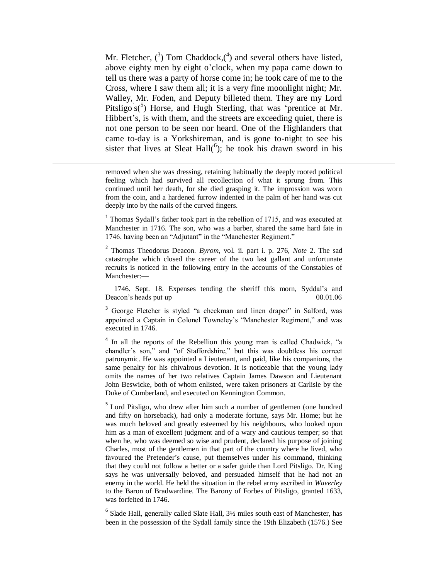Mr. Fletcher,  $(3)$  Tom Chaddock, $(4)$  and several others have listed, above eighty men by eight o"clock, when my papa came down to tell us there was a party of horse come in; he took care of me to the Cross, where I saw them all; it is a very fine moonlight night; Mr. Walley, Mr. Foden, and Deputy billeted them. They are my Lord Pitsligo  $s(5)$  Horse, and Hugh Sterling, that was 'prentice at Mr. Hibbert's, is with them, and the streets are exceeding quiet, there is not one person to be seen nor heard. One of the Highlanders that came to-day is a Yorkshireman, and is gone to-night to see his sister that lives at Sleat  $\text{Hall}({}^6)$ ; he took his drawn sword in his

removed when she was dressing, retaining habitually the deeply rooted political feeling which had survived all recollection of what it sprung from. This continued until her death, for she died grasping it. The improssion was worn from the coin, and a hardened furrow indented in the palm of her hand was cut deeply into by the nails of the curved fingers.

l

<sup>1</sup> Thomas Sydall's father took part in the rebellion of 1715, and was executed at Manchester in 1716. The son, who was a barber, shared the same hard fate in 1746, having been an "Adjutant" in the "Manchester Regiment."

2 Thomas Theodorus Deacon. *Byrom,* vol. ii. part i. p. 276, *Note* 2. The sad catastrophe which closed the career of the two last gallant and unfortunate recruits is noticed in the following entry in the accounts of the Constables of Manchester:—

1746. Sept. 18. Expenses tending the sheriff this morn, Syddal"s and Deacon's heads put up 00.01.06

<sup>3</sup> George Fletcher is styled "a checkman and linen draper" in Salford, was appointed a Captain in Colonel Towneley"s "Manchester Regiment," and was executed in 1746.

<sup>4</sup> In all the reports of the Rebellion this young man is called Chadwick, "a chandler's son," and "of Staffordshire," but this was doubtless his correct patronymic. He was appointed a Lieutenant, and paid, like his companions, the same penalty for his chivalrous devotion. It is noticeable that the young lady omits the names of her two relatives Captain James Dawson and Lieutenant John Beswicke, both of whom enlisted, were taken prisoners at Carlisle by the Duke of Cumberland, and executed on Kennington Common.

<sup>5</sup> Lord Pitsligo, who drew after him such a number of gentlemen (one hundred and fifty on horseback), had only a moderate fortune, says Mr. Home; but he was much beloved and greatly esteemed by his neighbours, who looked upon him as a man of excellent judgment and of a wary and cautious temper; so that when he, who was deemed so wise and prudent, declared his purpose of joining Charles, most of the gentlemen in that part of the country where he lived, who favoured the Pretender's cause, put themselves under his command, thinking that they could not follow a better or a safer guide than Lord Pitsligo. Dr. King says he was universally beloved, and persuaded himself that he had not an enemy in the world. He held the situation in the rebel army ascribed in *Waverley*  to the Baron of Bradwardine. The Barony of Forbes of Pitsligo, granted 1633, was forfeited in 1746.

 $6$  Slade Hall, generally called Slate Hall,  $3\frac{1}{2}$  miles south east of Manchester, has been in the possession of the Sydall family since the 19th Elizabeth (1576.) See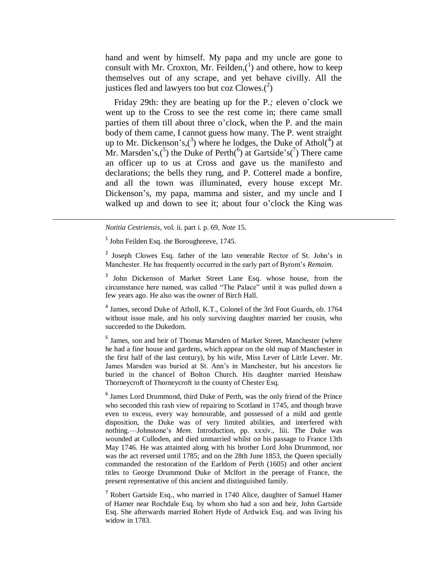hand and went by himself. My papa and my uncle are gone to consult with Mr. Croxton, Mr. Feilden, $(1)$  and othere, how to keep themselves out of any scrape, and yet behave civilly. All the justices fled and lawyers too but coz Clowes. $(^2)$ 

Friday 29th: they are beating up for the P<sub>ri</sub> eleven o'clock we went up to the Cross to see the rest come in; there came small parties of them till about three o"clock, when the P. and the main body of them came, I cannot guess how many. The P. went straight up to Mr. Dickenson's,(3) where he lodges, the Duke of Athol( $\frac{4}{1}$ ) at Mr. Marsden's, $(5)$  the Duke of Perth $(6)$  at Gartside's $(7)$  There came an officer up to us at Cross and gave us the manifesto and declarations; the bells they rung, and P. Cotterel made a bonfire, and all the town was illuminated, every house except Mr. Dickenson's, my papa, mamma and sister, and my uncle and I walked up and down to see it; about four o'clock the King was

*Notitia Cestriensis,* vol. ii. part i. p. 69, *Note* 15.

<sup>1</sup> John Feilden Esq. the Boroughreeve, 1745.

 $\overline{a}$ 

<sup>2</sup> Joseph Clowes Esq. father of the lato venerable Rector of St. John's in Manchester. He has frequently occurred in the early part of Byrom"s *Remaim.*

<sup>3</sup> John Dickenson of Market Street Lane Esq. whose house, from the circumstance here named, was called "The Palace" until it was pulled down a few years ago. He also was the owner of Birch Hall.

4 James, second Duke of Atholl, K.T., Colonel of the 3rd Foot Guards, ob. 1764 without issue male, and his only surviving daughter married her cousin, who succeeded to the Dukedom.

<sup>5</sup> James, son and heir of Thomas Marsden of Market Street, Manchester (where he had a fine house and gardens, which appear on the old map of Manchester in the first half of the last century), by his wife, Miss Lever of Little Lever. Mr. James Marsden was buried at St. Ann"s in Manchester, but his ancestors lie buried in the chancel of Bolton Church. His daughter married Henshaw Thorneycroft of Thorneycroft in the county of Chester Esq.

6 James Lord Drummond, third Duke of Perth, was the only friend of the Prince who seconded this rash view of repairing to Scotland in 1745, and though brave even to excess, every way honourable, and possessed of a mild and gentle disposition, the Duke was of very limited abilities, and interfered with nothing.—Johnstone"s *Mem.* Introduction, pp. xxxiv., liii. The Duke was wounded at Culloden, and died unmarried whilst on his passage to France 13th May 1746. He was attainted along with his brother Lord John Drummond, nor was the act reversed until 1785; and on the 28th June 1853, the Queen specially commanded the restoration of the Earldom of Perth (1605) and other ancient titles to George Drummond Duke of Mclfort in the peerage of France, the present representative of this ancient and distinguished family.

<sup>7</sup> Robert Gartside Esq., who married in 1740 Alice, daughter of Samuel Hamer of Hamer near Rochdale Esq. by whom sho had a son and heir, John Gartside Esq. She afterwards married Robert Hyde of Ardwick Esq. and was living his widow in 1783.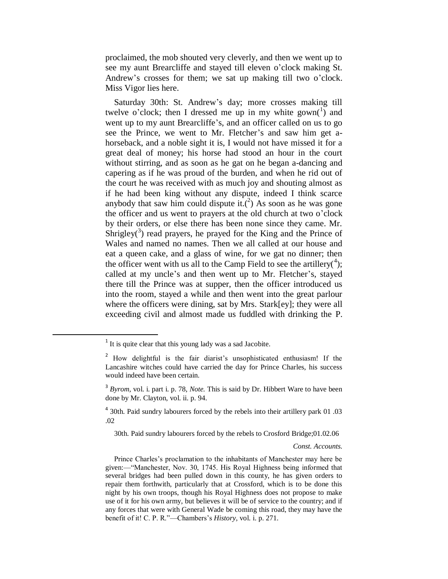proclaimed, the mob shouted very cleverly, and then we went up to see my aunt Brearcliffe and stayed till eleven o'clock making St. Andrew's crosses for them; we sat up making till two o'clock. Miss Vigor lies here.

Saturday 30th: St. Andrew's day; more crosses making till twelve o'clock; then I dressed me up in my white  $gown<sup>{1}</sup>$  and went up to my aunt Brearcliffe's, and an officer called on us to go see the Prince, we went to Mr. Fletcher's and saw him get ahorseback, and a noble sight it is, I would not have missed it for a great deal of money; his horse had stood an hour in the court without stirring, and as soon as he gat on he began a-dancing and capering as if he was proud of the burden, and when he rid out of the court he was received with as much joy and shouting almost as if he had been king without any dispute, indeed I think scarce anybody that saw him could dispute it.<sup>(2)</sup> As soon as he was gone the officer and us went to prayers at the old church at two o'clock by their orders, or else there has been none since they came. Mr. Shrigley( $3$ ) read prayers, he prayed for the King and the Prince of Wales and named no names. Then we all called at our house and eat a queen cake, and a glass of wine, for we gat no dinner; then the officer went with us all to the Camp Field to see the artillery( $\rm ^4$ ); called at my uncle's and then went up to Mr. Fletcher's, stayed there till the Prince was at supper, then the officer introduced us into the room, stayed a while and then went into the great parlour where the officers were dining, sat by Mrs. Stark[ey]; they were all exceeding civil and almost made us fuddled with drinking the P.

 $\overline{a}$ 

30th. Paid sundry labourers forced by the rebels to Crosford Bridge;01.02.06

*Const. Accounts.*

 $1$  It is quite clear that this young lady was a sad Jacobite.

<sup>&</sup>lt;sup>2</sup> How delightful is the fair diarist's unsophisticated enthusiasm! If the Lancashire witches could have carried the day for Prince Charles, his success would indeed have been certain.

<sup>&</sup>lt;sup>3</sup> Byrom, vol. i. part i. p. 78, *Note*. This is said by Dr. Hibbert Ware to have been done by Mr. Clayton, vol. ii. p. 94.

 $4$  30th. Paid sundry labourers forced by the rebels into their artillery park 01 .03 .02

Prince Charles"s proclamation to the inhabitants of Manchester may here be given:—"Manchester, Nov. 30, 1745. His Royal Highness being informed that several bridges had been pulled down in this county, he has given orders to repair them forthwith, particularly that at Crossford, which is to be done this night by his own troops, though his Royal Highness does not propose to make use of it for his own army, but believes it will be of service to the country; and if any forces that were with General Wade be coming this road, they may have the benefit of it! C. P. R."—Chambers"s *History,* vol. i. p. 271.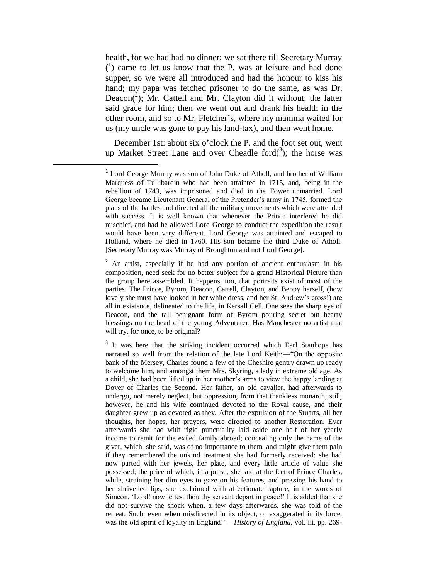health, for we had had no dinner; we sat there till Secretary Murray  $(1)$  came to let us know that the P. was at leisure and had done supper, so we were all introduced and had the honour to kiss his hand; my papa was fetched prisoner to do the same, as was Dr. Deacon( $2$ ); Mr. Cattell and Mr. Clayton did it without; the latter said grace for him; then we went out and drank his health in the other room, and so to Mr. Fletcher"s, where my mamma waited for us (my uncle was gone to pay his land-tax), and then went home.

December 1st: about six o"clock the P. and the foot set out, went up Market Street Lane and over Cheadle ford $(3)$ ; the horse was

 $\overline{a}$ 

<sup>&</sup>lt;sup>1</sup> Lord George Murray was son of John Duke of Atholl, and brother of William Marquess of Tullibardin who had been attainted in 1715, and, being in the rebellion of 1743, was imprisoned and died in the Tower unmarried. Lord George became Lieutenant General of the Pretender's army in 1745, formed the plans of the battles and directed all the military movements which were attended with success. It is well known that whenever the Prince interfered he did mischief, and had he allowed Lord George to conduct the expedition the result would have been very different. Lord George was attainted and escaped to Holland, where he died in 1760. His son became the third Duke of Atholl. [Secretary Murray was Murray of Broughton and not Lord George].

<sup>&</sup>lt;sup>2</sup> An artist, especially if he had any portion of ancient enthusiasm in his composition, need seek for no better subject for a grand Historical Picture than the group here assembled. It happens, too, that portraits exist of most of the parties. The Prince, Byrom, Deacon, Cattell, Clayton, and Beppy herself, (how lovely she must have looked in her white dress, and her St. Andrew"s cross!) are all in existence, delineated to the life, in Kersall Cell. One sees the sharp eye of Deacon, and the tall benignant form of Byrom pouring secret but hearty blessings on the head of the young Adventurer. Has Manchester no artist that will try, for once, to be original?

<sup>&</sup>lt;sup>3</sup> It was here that the striking incident occurred which Earl Stanhope has narrated so well from the relation of the late Lord Keith:—"On the opposite bank of the Mersey, Charles found a few of the Cheshire gentry drawn up ready to welcome him, and amongst them Mrs. Skyring, a lady in extreme old age. As a child, she had been lifted up in her mother"s arms to view the happy landing at Dover of Charles the Second. Her father, an old cavalier, had afterwards to undergo, not merely neglect, but oppression, from that thankless monarch; still, however, he and his wife continued devoted to the Royal cause, and their daughter grew up as devoted as they. After the expulsion of the Stuarts, all her thoughts, her hopes, her prayers, were directed to another Restoration. Ever afterwards she had with rigid punctuality laid aside one half of her yearly income to remit for the exiled family abroad; concealing only the name of the giver, which, she said, was of no importance to them, and might give them pain if they remembered the unkind treatment she had formerly received: she had now parted with her jewels, her plate, and every little article of value she possessed; the price of which, in a purse, she laid at the feet of Prince Charles, while, straining her dim eyes to gaze on his features, and pressing his hand to her shrivelled lips, she exclaimed with affectionate rapture, in the words of Simeon, "Lord! now lettest thou thy servant depart in peace!" It is added that she did not survive the shock when, a few days afterwards, she was told of the retreat. Such, even when misdirected in its object, or exaggerated in its force, was the old spirit of loyalty in England!"—*History of England,* vol. iii. pp. 269-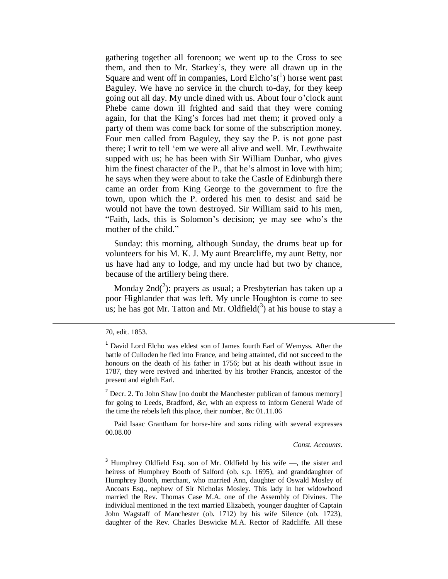gathering together all forenoon; we went up to the Cross to see them, and then to Mr. Starkey"s, they were all drawn up in the Square and went off in companies, Lord Elcho's(1) horse went past Baguley. We have no service in the church to-day, for they keep going out all day. My uncle dined with us. About four o"clock aunt Phebe came down ill frighted and said that they were coming again, for that the King"s forces had met them; it proved only a party of them was come back for some of the subscription money. Four men called from Baguley, they say the P. is not gone past there; I writ to tell "em we were all alive and well. Mr. Lewthwaite supped with us; he has been with Sir William Dunbar, who gives him the finest character of the P., that he's almost in love with him; he says when they were about to take the Castle of Edinburgh there came an order from King George to the government to fire the town, upon which the P. ordered his men to desist and said he would not have the town destroyed. Sir William said to his men, "Faith, lads, this is Solomon"s decision; ye may see who"s the mother of the child."

Sunday: this morning, although Sunday, the drums beat up for volunteers for his M. K. J. My aunt Brearcliffe, my aunt Betty, nor us have had any to lodge, and my uncle had but two by chance, because of the artillery being there.

Monday  $2nd(^2)$ : prayers as usual; a Presbyterian has taken up a poor Highlander that was left. My uncle Houghton is come to see us; he has got Mr. Tatton and Mr. Oldfield $(3)$  at his house to stay a

 $\overline{a}$ 

<sup>2</sup> Decr. 2. To John Shaw [no doubt the Manchester publican of famous memory] for going to Leeds, Bradford, *&c,* with an express to inform General Wade of the time the rebels left this place, their number, &c 01.11.06

Paid Isaac Grantham for horse-hire and sons riding with several expresses 00.08.00

*Const. Accounts.*

<sup>70,</sup> edit. 1853.

<sup>&</sup>lt;sup>1</sup> David Lord Elcho was eldest son of James fourth Earl of Wemyss. After the battle of Culloden he fled into France, and being attainted, did not succeed to the honours on the death of his father in 1756; but at his death without issue in 1787, they were revived and inherited by his brother Francis, ancestor of the present and eighth Earl.

 $3$  Humphrey Oldfield Esq. son of Mr. Oldfield by his wife —, the sister and heiress of Humphrey Booth of Salford (ob. s.p. 1695), and granddaughter of Humphrey Booth, merchant, who married Ann, daughter of Oswald Mosley of Ancoats Esq., nephew of Sir Nicholas Mosley. This lady in her widowhood married the Rev. Thomas Case M.A. one of the Assembly of Divines. The individual mentioned in the text married Elizabeth, younger daughter of Captain John Wagstaff of Manchester (ob. 1712) by his wife Silence (ob. 1723), daughter of the Rev. Charles Beswicke M.A. Rector of Radcliffe. All these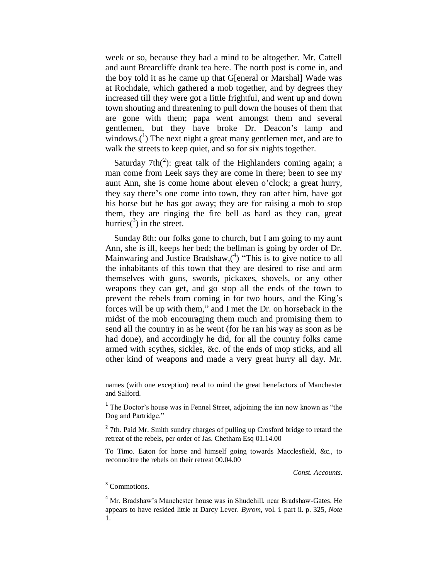week or so, because they had a mind to be altogether. Mr. Cattell and aunt Brearcliffe drank tea here. The north post is come in, and the boy told it as he came up that G[eneral or Marshal] Wade was at Rochdale, which gathered a mob together, and by degrees they increased till they were got a little frightful, and went up and down town shouting and threatening to pull down the houses of them that are gone with them; papa went amongst them and several gentlemen, but they have broke Dr. Deacon"s lamp and windows. $(^{1})$  The next night a great many gentlemen met, and are to walk the streets to keep quiet, and so for six nights together.

Saturday 7th( $2$ ): great talk of the Highlanders coming again; a man come from Leek says they are come in there; been to see my aunt Ann, she is come home about eleven o"clock; a great hurry, they say there"s one come into town, they ran after him, have got his horse but he has got away; they are for raising a mob to stop them, they are ringing the fire bell as hard as they can, great hurries( $3$ ) in the street.

Sunday 8th: our folks gone to church, but I am going to my aunt Ann, she is ill, keeps her bed; the bellman is going by order of Dr. Mainwaring and Justice Bradshaw, $(1)$  "This is to give notice to all the inhabitants of this town that they are desired to rise and arm themselves with guns, swords, pickaxes, shovels, or any other weapons they can get, and go stop all the ends of the town to prevent the rebels from coming in for two hours, and the King"s forces will be up with them," and I met the Dr. on horseback in the midst of the mob encouraging them much and promising them to send all the country in as he went (for he ran his way as soon as he had done), and accordingly he did, for all the country folks came armed with scythes, sickles, &c. of the ends of mop sticks, and all other kind of weapons and made a very great hurry all day. Mr.

names (with one exception) recal to mind the great benefactors of Manchester and Salford.

<sup>1</sup> The Doctor's house was in Fennel Street, adjoining the inn now known as "the Dog and Partridge."

<sup>2</sup> 7th. Paid Mr. Smith sundry charges of pulling up Crosford bridge to retard the retreat of the rebels, per order of Jas. Chetham Esq 01.14.00

To Timo. Eaton for horse and himself going towards Macclesfield, &c., to reconnoitre the rebels on their retreat 00.04.00

*Const. Accounts.*

<sup>3</sup> Commotions.

 $\overline{a}$ 

<sup>4</sup> Mr. Bradshaw's Manchester house was in Shudehill, near Bradshaw-Gates. He appears to have resided little at Darcy Lever. *Byrom,* vol. i. part ii. p. 325, *Note*  1.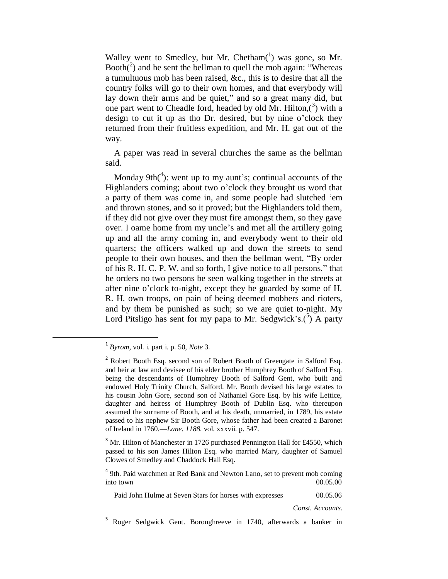Walley went to Smedley, but Mr. Chetham $(1)$  was gone, so Mr. Booth $\binom{2}{1}$  and he sent the bellman to quell the mob again: "Whereas a tumultuous mob has been raised, &c., this is to desire that all the country folks will go to their own homes, and that everybody will lay down their arms and be quiet," and so a great many did, but one part went to Cheadle ford, headed by old Mr. Hilton, $(3)$  with a design to cut it up as tho Dr. desired, but by nine o"clock they returned from their fruitless expedition, and Mr. H. gat out of the way.

A paper was read in several churches the same as the bellman said.

Monday  $9th<sup>4</sup>$ ): went up to my aunt's; continual accounts of the Highlanders coming; about two o'clock they brought us word that a party of them was come in, and some people had slutched "em and thrown stones, and so it proved; but the Highlanders told them, if they did not give over they must fire amongst them, so they gave over. I oame home from my uncle"s and met all the artillery going up and all the army coming in, and everybody went to their old quarters; the officers walked up and down the streets to send people to their own houses, and then the bellman went, "By order of his R. H. C. P. W. and so forth, I give notice to all persons." that he orders no two persons be seen walking together in the streets at after nine o"clock to-night, except they be guarded by some of H. R. H. own troops, on pain of being deemed mobbers and rioters, and by them be punished as such; so we are quiet to-night. My Lord Pitsligo has sent for my papa to Mr. Sedgwick's.( $5/2$ A party

l

<sup>4</sup> 9th. Paid watchmen at Red Bank and Newton Lano, set to prevent mob coming into town 00.05.00

Paid John Hulme at Seven Stars for horses with expresses 00.05.06

*Const. Accounts.*

<sup>5</sup> Roger Sedgwick Gent. Boroughreeve in 1740, afterwards a banker in

<sup>1</sup> *Byrom,* vol. i. part i. p. 50, *Note* 3.

<sup>&</sup>lt;sup>2</sup> Robert Booth Esq. second son of Robert Booth of Greengate in Salford Esq. and heir at law and devisee of his elder brother Humphrey Booth of Salford Esq. being the descendants of Humphrey Booth of Salford Gent, who built and endowed Holy Trinity Church, Salford. Mr. Booth devised his large estates to his cousin John Gore, second son of Nathaniel Gore Esq. by his wife Lettice, daughter and heiress of Humphrey Booth of Dublin Esq. who thereupon assumed the surname of Booth, and at his death, unmarried, in 1789, his estate passed to his nephew Sir Booth Gore, whose father had been created a Baronet of Ireland in 1760.—*Lane. 1188.* vol. xxxvii. p. 547.

<sup>&</sup>lt;sup>3</sup> Mr. Hilton of Manchester in 1726 purchased Pennington Hall for £4550, which passed to his son James Hilton Esq. who married Mary, daughter of Samuel Clowes of Smedley and Chaddock Hall Esq.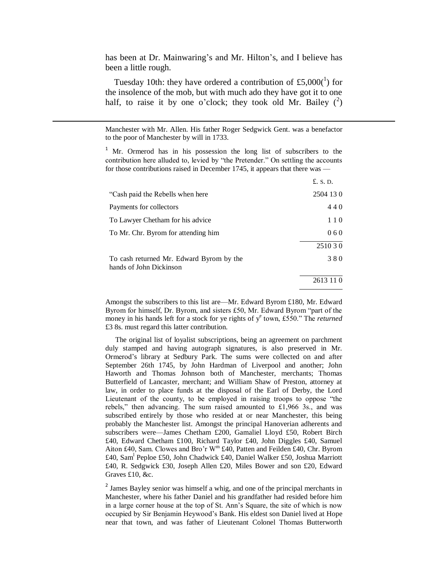has been at Dr. Mainwaring's and Mr. Hilton's, and I believe has been a little rough.

Tuesday 10th: they have ordered a contribution of £5,000 $(^1)$  for the insolence of the mob, but with much ado they have got it to one half, to raise it by one o'clock; they took old Mr. Bailey  $(^2)$ 

Manchester with Mr. Allen. His father Roger Sedgwick Gent. was a benefactor to the poor of Manchester by will in 1733.

l

<sup>1</sup> Mr. Ormerod has in his possession the long list of subscribers to the contribution here alluded to, levied by "the Pretender." On settling the accounts for those contributions raised in December 1745, it appears that there was —

|                                                                     | £. S. D.  |
|---------------------------------------------------------------------|-----------|
| "Cash paid the Rebells when here"                                   | 2504 13 0 |
| Payments for collectors                                             | 440       |
| To Lawyer Chetham for his advice                                    | 110       |
| To Mr. Chr. Byrom for attending him                                 | 060       |
|                                                                     | 2510 3 0  |
| To cash returned Mr. Edward Byrom by the<br>hands of John Dickinson | 380       |
|                                                                     | 2613 11 0 |

Amongst the subscribers to this list are—Mr. Edward Byrom £180, Mr. Edward Byrom for himself, Dr. Byrom, and sisters £50, Mr. Edward Byrom "part of the money in his hands left for a stock for ye rights of y<sup>e</sup> town, £550." The *returned* £3 8s. must regard this latter contribution.

The original list of loyalist subscriptions, being an agreement on parchment duly stamped and having autograph signatures, is also preserved in Mr. Ormerod"s library at Sedbury Park. The sums were collected on and after September 26th 1745, by John Hardman of Liverpool and another; John Haworth and Thomas Johnson both of Manchester, merchants; Thomas Butterfield of Lancaster, merchant; and William Shaw of Preston, attorney at law, in order to place funds at the disposal of the Earl of Derby, the Lord Lieutenant of the county, to be employed in raising troops to oppose "the rebels," then advancing. The sum raised amounted to £1,966 3s., and was subscribed entirely by those who resided at or near Manchester, this being probably the Manchester list. Amongst the principal Hanoverian adherents and subscribers were—James Chetham £200, Gamaliel Lloyd £50, Robert Birch £40, Edward Chetham £100, Richard Taylor £40, John Diggles £40, Samuel Aiton £40, Sam. Clowes and Bro'r W<sup>m</sup> £40, Patten and Feilden £40, Chr. Byrom £40, Sam<sup>l</sup> Peploe £50, John Chadwick £40, Daniel Walker £50, Joshua Marriott £40, R. Sedgwick £30, Joseph Allen £20, Miles Bower and son £20, Edward Graves £10, &c.

 $2<sup>2</sup>$  James Bayley senior was himself a whig, and one of the principal merchants in Manchester, where his father Daniel and his grandfather had resided before him in a large corner house at the top of St. Ann"s Square, the site of which is now occupied by Sir Benjamin Heywood"s Bank. His eldest son Daniel lived at Hope near that town, and was father of Lieutenant Colonel Thomas Butterworth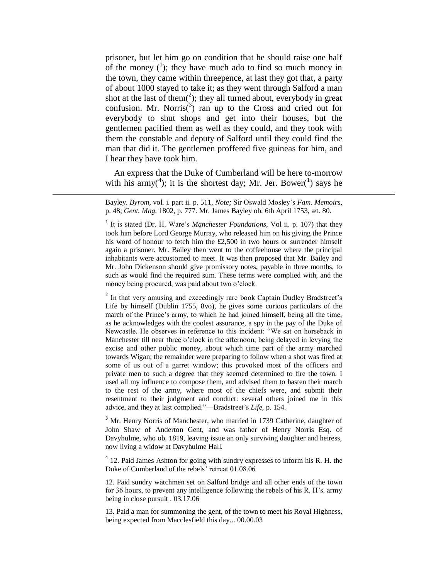prisoner, but let him go on condition that he should raise one half of the money  $(1)$ ; they have much ado to find so much money in the town, they came within threepence, at last they got that, a party of about 1000 stayed to take it; as they went through Salford a man shot at the last of them $(2)$ ; they all turned about, everybody in great confusion. Mr. Norris $(\overline{\text{3}})$  ran up to the Cross and cried out for everybody to shut shops and get into their houses, but the gentlemen pacified them as well as they could, and they took with them the constable and deputy of Salford until they could find the man that did it. The gentlemen proffered five guineas for him, and I hear they have took him.

An express that the Duke of Cumberland will be here to-morrow with his army(<sup>4</sup>); it is the shortest day; Mr. Jer. Bower(<sup>1</sup>) says he

Bayley. *Byrom,* vol. i. part ii. p. 511, *Note;* Sir Oswald Mosley"s *Fam. Memoirs,*  p. 48; *Gent. Mag.* 1802, p. 777. Mr. James Bayley ob. 6th April 1753, æt. 80.

 $\overline{a}$ 

<sup>1</sup> It is stated (Dr. H. Ware's *Manchester Foundations*, Vol ii. p. 107) that they took him before Lord George Murray, who released him on his giving the Prince his word of honour to fetch him the £2,500 in two hours or surrender himself again a prisoner. Mr. Bailey then went to the coffeehouse where the principal inhabitants were accustomed to meet. It was then proposed that Mr. Bailey and Mr. John Dickenson should give promissory notes, payable in three months, to such as would find the required sum. These terms were complied with, and the money being procured, was paid about two o'clock.

<sup>2</sup> In that very amusing and exceedingly rare book Captain Dudley Bradstreet's Life by himself (Dublin 1755, 8vo), he gives some curious particulars of the march of the Prince's army, to which he had joined himself, being all the time, as he acknowledges with the coolest assurance, a spy in the pay of the Duke of Newcastle. He observes in reference to this incident: "We sat on horseback in Manchester till near three o'clock in the afternoon, being delayed in levying the excise and other public money, about which time part of the army marched towards Wigan; the remainder were preparing to follow when a shot was fired at some of us out of a garret window; this provoked most of the officers and private men to such a degree that they seemed determined to fire the town. I used all my influence to compose them, and advised them to hasten their march to the rest of the army, where most of the chiefs were, and submit their resentment to their judgment and conduct: several others joined me in this advice, and they at last complied."—Bradstreet"s *Life,* p. 154.

<sup>3</sup> Mr. Henry Norris of Manchester, who married in 1739 Catherine, daughter of John Shaw of Anderton Gent, and was father of Henry Norris Esq. of Davyhulme, who ob. 1819, leaving issue an only surviving daughter and heiress, now living a widow at Davyhulme Hall.

<sup>4</sup> 12. Paid James Ashton for going with sundry expresses to inform his R. H. the Duke of Cumberland of the rebels' retreat 01.08.06

12. Paid sundry watchmen set on Salford bridge and all other ends of the town for 36 hours, to prevent any intelligence following the rebels of his R. H"s. army being in close pursuit . 03.17.06

13. Paid a man for summoning the gent, of the town to meet his Royal Highness, being expected from Macclesfield this day... 00.00.03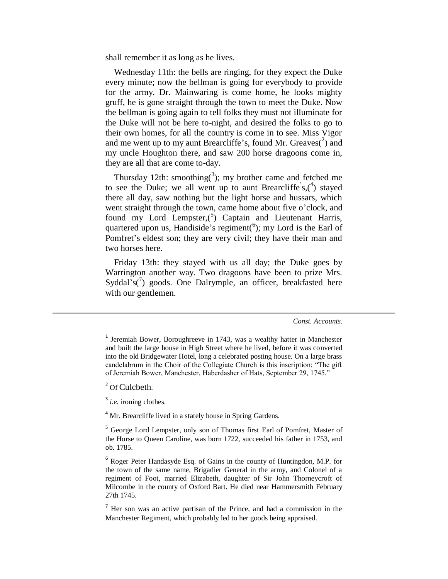shall remember it as long as he lives.

Wednesday 11th: the bells are ringing, for they expect the Duke every minute; now the bellman is going for everybody to provide for the army. Dr. Mainwaring is come home, he looks mighty gruff, he is gone straight through the town to meet the Duke. Now the bellman is going again to tell folks they must not illuminate for the Duke will not be here to-night, and desired the folks to go to their own homes, for all the country is come in to see. Miss Vigor and me went up to my aunt Brearcliffe's, found Mr. Greaves $(^2)$  and my uncle Houghton there, and saw 200 horse dragoons come in, they are all that are come to-day.

Thursday 12th: smoothing( $3$ ); my brother came and fetched me to see the Duke; we all went up to aunt Brearcliffe s, $(4)$  stayed there all day, saw nothing but the light horse and hussars, which went straight through the town, came home about five o'clock, and found my Lord Lempster, $(5)$  Captain and Lieutenant Harris, quartered upon us, Handiside's regiment( $6$ ); my Lord is the Earl of Pomfret's eldest son; they are very civil; they have their man and two horses here.

Friday 13th: they stayed with us all day; the Duke goes by Warrington another way. Two dragoons have been to prize Mrs. Syddal's( $^7$ ) goods. One Dalrymple, an officer, breakfasted here with our gentlemen.

*Const. Accounts.*

<sup>2</sup> Of Culcbeth.

 $\overline{a}$ 

<sup>3</sup> *i.e.* ironing clothes.

<sup>4</sup> Mr. Brearcliffe lived in a stately house in Spring Gardens.

<sup>&</sup>lt;sup>1</sup> Jeremiah Bower, Boroughreeve in 1743, was a wealthy hatter in Manchester and built the large house in High Street where he lived, before it was converted into the old Bridgewater Hotel, long a celebrated posting house. On a large brass candelabrum in the Choir of the Collegiate Church is this inscription: "The gift of Jeremiah Bower, Manchester, Haberdasher of Hats, September 29, 1745."

<sup>&</sup>lt;sup>5</sup> George Lord Lempster, only son of Thomas first Earl of Pomfret, Master of the Horse to Queen Caroline, was born 1722, succeeded his father in 1753, and ob. 1785.

<sup>6</sup> Roger Peter Handasyde Esq. of Gains in the county of Huntingdon, M.P. for the town of the same name, Brigadier General in the army, and Colonel of a regiment of Foot, married Elizabeth, daughter of Sir John Thorneycroft of Milcombe in the county of Oxford Bart. He died near Hammersmith February 27th 1745.

<sup>7</sup> Her son was an active partisan of the Prince, and had a commission in the Manchester Regiment, which probably led to her goods being appraised.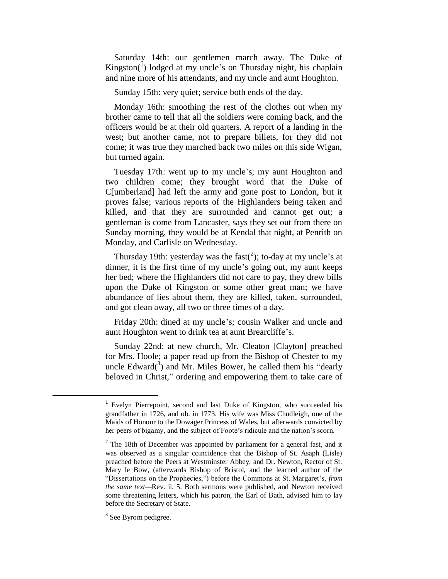Saturday 14th: our gentlemen march away. The Duke of Kingston( $\overline{1}$ ) lodged at my uncle's on Thursday night, his chaplain and nine more of his attendants, and my uncle and aunt Houghton.

Sunday 15th: very quiet; service both ends of the day.

Monday 16th: smoothing the rest of the clothes out when my brother came to tell that all the soldiers were coming back, and the officers would be at their old quarters. A report of a landing in the west; but another came, not to prepare billets, for they did not come; it was true they marched back two miles on this side Wigan, but turned again.

Tuesday 17th: went up to my uncle"s; my aunt Houghton and two children come; they brought word that the Duke of C[umberland] had left the army and gone post to London, but it proves false; various reports of the Highlanders being taken and killed, and that they are surrounded and cannot get out; a gentleman is come from Lancaster, says they set out from there on Sunday morning, they would be at Kendal that night, at Penrith on Monday, and Carlisle on Wednesday.

Thursday 19th: yesterday was the fast( $^2$ ); to-day at my uncle's at dinner, it is the first time of my uncle's going out, my aunt keeps her bed; where the Highlanders did not care to pay, they drew bills upon the Duke of Kingston or some other great man; we have abundance of lies about them, they are killed, taken, surrounded, and got clean away, all two or three times of a day.

Friday 20th: dined at my uncle's; cousin Walker and uncle and aunt Houghton went to drink tea at aunt Brearcliffe's.

Sunday 22nd: at new church, Mr. Cleaton [Clayton] preached for Mrs. Hoole; a paper read up from the Bishop of Chester to my uncle Edward $(3)$  and Mr. Miles Bower, he called them his "dearly beloved in Christ," ordering and empowering them to take care of

l

<sup>&</sup>lt;sup>1</sup> Evelyn Pierrepoint, second and last Duke of Kingston, who succeeded his grandfather in 1726, and ob. in 1773. His wife was Miss Chudleigh, one of the Maids of Honour to the Dowager Princess of Wales, but afterwards convicted by her peers of bigamy, and the subject of Foote's ridicule and the nation's scorn.

 $2^2$  The 18th of December was appointed by parliament for a general fast, and it was observed as a singular coincidence that the Bishop of St. Asaph (Lisle) preached before the Peers at Westminster Abbey, and Dr. Newton, Rector of St. Mary le Bow, (afterwards Bishop of Bristol, and the learned author of the "Dissertations on the Prophecies,") before the Commons at St. Margaret's, *from the same text—*Rev. ii. 5. Both sermons were published, and Newton received some threatening letters, which his patron, the Earl of Bath, advised him to lay before the Secretary of State.

<sup>&</sup>lt;sup>3</sup> See Byrom pedigree.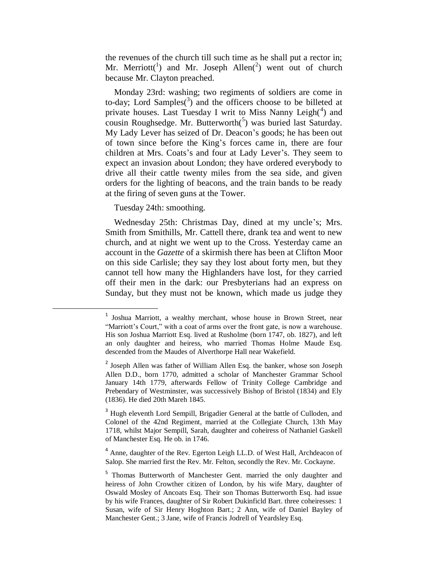the revenues of the church till such time as he shall put a rector in; Mr. Merriott( $\binom{1}{1}$  and Mr. Joseph Allen( $\binom{2}{1}$  went out of church because Mr. Clayton preached.

Monday 23rd: washing; two regiments of soldiers are come in to-day; Lord Samples $(3)$  and the officers choose to be billeted at private houses. Last Tuesday I writ to Miss Nanny Leigh(4) and cousin Roughsedge. Mr. Butterworth( $5$ ) was buried last Saturday. My Lady Lever has seized of Dr. Deacon"s goods; he has been out of town since before the King"s forces came in, there are four children at Mrs. Coats's and four at Lady Lever's. They seem to expect an invasion about London; they have ordered everybody to drive all their cattle twenty miles from the sea side, and given orders for the lighting of beacons, and the train bands to be ready at the firing of seven guns at the Tower.

Tuesday 24th: smoothing.

 $\overline{a}$ 

Wednesday 25th: Christmas Day, dined at my uncle's; Mrs. Smith from Smithills, Mr. Cattell there, drank tea and went to new church, and at night we went up to the Cross. Yesterday came an account in the *Gazette* of a skirmish there has been at Clifton Moor on this side Carlisle; they say they lost about forty men, but they cannot tell how many the Highlanders have lost, for they carried off their men in the dark: our Presbyterians had an express on Sunday, but they must not be known, which made us judge they

<sup>3</sup> Hugh eleventh Lord Sempill, Brigadier General at the battle of Culloden, and Colonel of the 42nd Regiment, married at the Collegiate Church, 13th May 1718, whilst Major Sempill, Sarah, daughter and coheiress of Nathaniel Gaskell of Manchester Esq. He ob. in 1746.

<sup>&</sup>lt;sup>1</sup> Joshua Marriott, a wealthy merchant, whose house in Brown Street, near "Marriott's Court," with a coat of arms over the front gate, is now a warehouse. His son Joshua Marriott Esq. lived at Rusholme (born 1747, ob. 1827), and left an only daughter and heiress, who married Thomas Holme Maude Esq. descended from the Maudes of Alverthorpe Hall near Wakefield.

<sup>&</sup>lt;sup>2</sup> Joseph Allen was father of William Allen Esq. the banker, whose son Joseph Allen D.D., born 1770, admitted a scholar of Manchester Grammar School January 14th 1779, afterwards Fellow of Trinity College Cambridge and Prebendary of Westminster, was successively Bishop of Bristol (1834) and Ely (1836). He died 20th Mareh 1845.

<sup>4</sup> Anne, daughter of the Rev. Egerton Leigh LL.D. of West Hall, Archdeacon of Salop. She married first the Rev. Mr. Felton, secondly the Rev. Mr. Cockayne.

<sup>&</sup>lt;sup>5</sup> Thomas Butterworth of Manchester Gent. married the only daughter and heiress of John Crowther citizen of London, by his wife Mary, daughter of Oswald Mosley of Ancoats Esq. Their son Thomas Butterworth Esq. had issue by his wife Frances, daughter of Sir Robert Dukinficld Bart. three coheiresses: 1 Susan, wife of Sir Henry Hoghton Bart.; 2 Ann, wife of Daniel Bayley of Manchester Gent.; 3 Jane, wife of Francis Jodrell of Yeardsley Esq.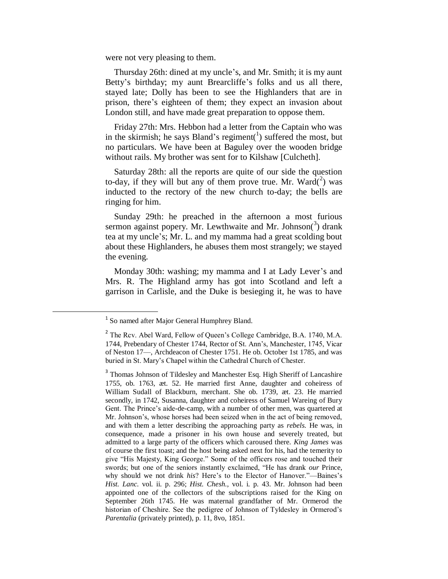were not very pleasing to them.

Thursday 26th: dined at my uncle"s, and Mr. Smith; it is my aunt Betty's birthday; my aunt Brearcliffe's folks and us all there, stayed late; Dolly has been to see the Highlanders that are in prison, there"s eighteen of them; they expect an invasion about London still, and have made great preparation to oppose them.

Friday 27th: Mrs. Hebbon had a letter from the Captain who was in the skirmish; he says Bland's regiment( $\frac{1}{1}$ ) suffered the most, but no particulars. We have been at Baguley over the wooden bridge without rails. My brother was sent for to Kilshaw [Culcheth].

Saturday 28th: all the reports are quite of our side the question to-day, if they will but any of them prove true. Mr. Ward $(2)$  was inducted to the rectory of the new church to-day; the bells are ringing for him.

Sunday 29th: he preached in the afternoon a most furious sermon against popery. Mr. Lewthwaite and Mr. Johnson( $3$ ) drank tea at my uncle"s; Mr. L. and my mamma had a great scolding bout about these Highlanders, he abuses them most strangely; we stayed the evening.

Monday 30th: washing; my mamma and I at Lady Lever's and Mrs. R. The Highland army has got into Scotland and left a garrison in Carlisle, and the Duke is besieging it, he was to have

 $\overline{a}$ 

<sup>&</sup>lt;sup>1</sup> So named after Major General Humphrey Bland.

<sup>&</sup>lt;sup>2</sup> The Rcv. Abel Ward, Fellow of Queen's College Cambridge, B.A. 1740, M.A. 1744, Prebendary of Chester 1744, Rector of St. Ann"s, Manchester, 1745, Vicar of Neston 17—, Archdeacon of Chester 1751. He ob. October 1st 1785, and was buried in St. Mary"s Chapel within the Cathedral Church of Chester.

<sup>&</sup>lt;sup>3</sup> Thomas Johnson of Tildesley and Manchester Esq. High Sheriff of Lancashire 1755, ob. 1763, æt. 52. He married first Anne, daughter and coheiress of William Sudall of Blackburn, merchant. She ob. 1739, æt. 23. He married secondly, in 1742, Susanna, daughter and coheiress of Samuel Wareing of Bury Gent. The Prince's aide-de-camp, with a number of other men, was quartered at Mr. Johnson"s, whose horses had been seized when in the act of being removed, and with them a letter describing the approaching party as *rebels.* He was, in consequence, made a prisoner in his own house and severely treated, but admitted to a large party of the officers which caroused there. *King James* was of course the first toast; and the host being asked next for his, had the temerity to give "His Majesty, King George." Some of the officers rose and touched their swords; but one of the seniors instantly exclaimed, "He has drank *our* Prince, why should we not drink *his*? Here's to the Elector of Hanover."—Baines's *Hist. Lanc.* vol. ii. p. 296; *Hist. Chesh.,* vol. i. p. 43. Mr. Johnson had been appointed one of the collectors of the subscriptions raised for the King on September 26th 1745. He was maternal grandfather of Mr. Ormerod the historian of Cheshire. See the pedigree of Johnson of Tyldesley in Ormerod"s *Parentalia* (privately printed), p. 11, 8vo, 1851.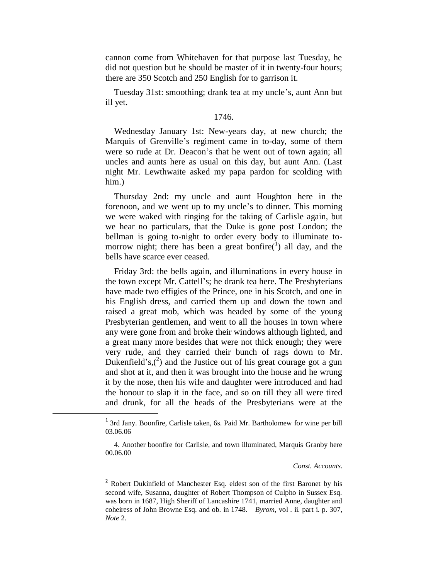cannon come from Whitehaven for that purpose last Tuesday, he did not question but he should be master of it in twenty-four hours; there are 350 Scotch and 250 English for to garrison it.

Tuesday 31st: smoothing; drank tea at my uncle"s, aunt Ann but ill yet.

### 1746.

Wednesday January 1st: New-years day, at new church; the Marquis of Grenville's regiment came in to-day, some of them were so rude at Dr. Deacon"s that he went out of town again; all uncles and aunts here as usual on this day, but aunt Ann. (Last night Mr. Lewthwaite asked my papa pardon for scolding with him.)

Thursday 2nd: my uncle and aunt Houghton here in the forenoon, and we went up to my uncle's to dinner. This morning we were waked with ringing for the taking of Carlisle again, but we hear no particulars, that the Duke is gone post London; the bellman is going to-night to order every body to illuminate tomorrow night; there has been a great bonfire $(1)$  all day, and the bells have scarce ever ceased.

Friday 3rd: the bells again, and illuminations in every house in the town except Mr. Cattell"s; he drank tea here. The Presbyterians have made two effigies of the Prince, one in his Scotch, and one in his English dress, and carried them up and down the town and raised a great mob, which was headed by some of the young Presbyterian gentlemen, and went to all the houses in town where any were gone from and broke their windows although lighted, and a great many more besides that were not thick enough; they were very rude, and they carried their bunch of rags down to Mr. Dukenfield's, $(2)$  and the Justice out of his great courage got a gun and shot at it, and then it was brought into the house and he wrung it by the nose, then his wife and daughter were introduced and had the honour to slap it in the face, and so on till they all were tired and drunk, for all the heads of the Presbyterians were at the

 $\overline{a}$ 

#### *Const. Accounts.*

<sup>&</sup>lt;sup>1</sup> 3rd Jany. Boonfire, Carlisle taken, 6s. Paid Mr. Bartholomew for wine per bill 03.06.06

<sup>4.</sup> Another boonfire for Carlisle, and town illuminated, Marquis Granby here 00.06.00

<sup>&</sup>lt;sup>2</sup> Robert Dukinfield of Manchester Esq. eldest son of the first Baronet by his second wife, Susanna, daughter of Robert Thompson of Culpho in Sussex Esq. was born in 1687, High Sheriff of Lancashire 1741, married Anne, daughter and coheiress of John Browne Esq. and ob. in 1748.—*Byrom,* vol . ii. part i. p. 307, *Note* 2.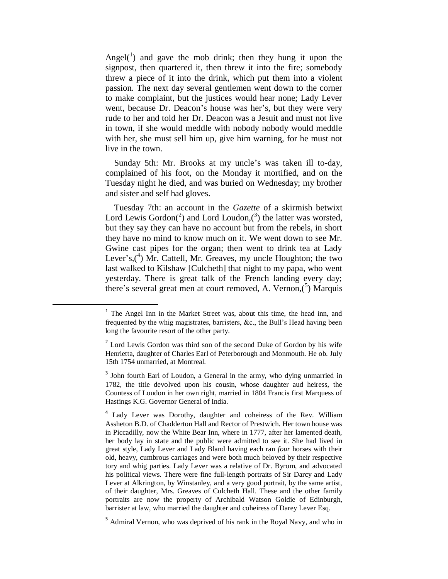Angel( $\frac{1}{1}$ ) and gave the mob drink; then they hung it upon the signpost, then quartered it, then threw it into the fire; somebody threw a piece of it into the drink, which put them into a violent passion. The next day several gentlemen went down to the corner to make complaint, but the justices would hear none; Lady Lever went, because Dr. Deacon's house was her's, but they were very rude to her and told her Dr. Deacon was a Jesuit and must not live in town, if she would meddle with nobody nobody would meddle with her, she must sell him up, give him warning, for he must not live in the town.

Sunday 5th: Mr. Brooks at my uncle's was taken ill to-day, complained of his foot, on the Monday it mortified, and on the Tuesday night he died, and was buried on Wednesday; my brother and sister and self had gloves.

Tuesday 7th: an account in the *Gazette* of a skirmish betwixt Lord Lewis Gordon(<sup>2</sup>) and Lord Loudon,(<sup>3</sup>) the latter was worsted, but they say they can have no account but from the rebels, in short they have no mind to know much on it. We went down to see Mr. Gwine cast pipes for the organ; then went to drink tea at Lady Lever's, $(^4)$  Mr. Cattell, Mr. Greaves, my uncle Houghton; the two last walked to Kilshaw [Culcheth] that night to my papa, who went yesterday. There is great talk of the French landing every day; there's several great men at court removed, A. Vernon, $(5)$  Marquis

 $\overline{a}$ 

<sup>&</sup>lt;sup>1</sup> The Angel Inn in the Market Street was, about this time, the head inn, and frequented by the whig magistrates, barristers, &c., the Bull"s Head having been long the favourite resort of the other party.

<sup>&</sup>lt;sup>2</sup> Lord Lewis Gordon was third son of the second Duke of Gordon by his wife Henrietta, daughter of Charles Earl of Peterborough and Monmouth. He ob. July 15th 1754 unmarried, at Montreal.

<sup>&</sup>lt;sup>3</sup> John fourth Earl of Loudon, a General in the army, who dying unmarried in 1782, the title devolved upon his cousin, whose daughter aud heiress, the Countess of Loudon in her own right, married in 1804 Francis first Marquess of Hastings K.G. Governor General of India.

<sup>&</sup>lt;sup>4</sup> Lady Lever was Dorothy, daughter and coheiress of the Rev. William Assheton B.D. of Chadderton Hall and Rector of Prestwich. Her town house was in Piccadilly, now the White Bear Inn, where in 1777, after her lamented death, her body lay in state and the public were admitted to see it. She had lived in great style, Lady Lever and Lady Bland having each ran *four* horses with their old, heavy, cumbrous carriages and were both much beloved by their respective tory and whig parties. Lady Lever was a relative of Dr. Byrom, and advocated his political views. There were fine full-length portraits of Sir Darcy and Lady Lever at Alkrington, by Winstanley, and a very good portrait, by the same artist, of their daughter, Mrs. Greaves of Culcheth Hall. These and the other family portraits are now the property of Archibald Watson Goldie of Edinburgh, barrister at law, who married the daughter and coheiress of Darey Lever Esq.

<sup>&</sup>lt;sup>5</sup> Admiral Vernon, who was deprived of his rank in the Royal Navy, and who in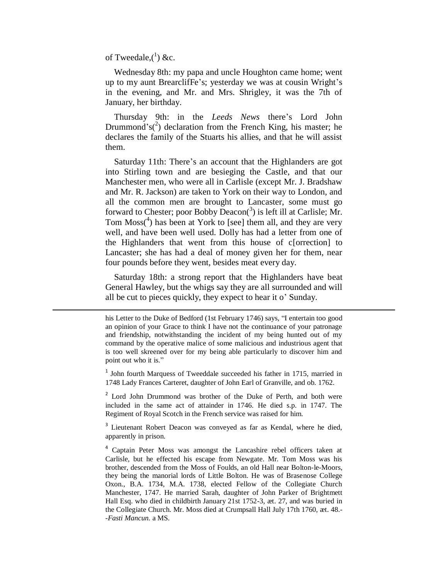of Tweedale, $(^{1})$  &c.

l

Wednesday 8th: my papa and uncle Houghton came home; went up to my aunt BrearclifFe"s; yesterday we was at cousin Wright"s in the evening, and Mr. and Mrs. Shrigley, it was the 7th of January, her birthday.

Thursday 9th: in the *Leeds News* there"s Lord John Drummond's( $^{2}$ ) declaration from the French King, his master; he declares the family of the Stuarts his allies, and that he will assist them.

Saturday 11th: There's an account that the Highlanders are got into Stirling town and are besieging the Castle, and that our Manchester men, who were all in Carlisle (except Mr. J. Bradshaw and Mr. R. Jackson) are taken to York on their way to London, and all the common men are brought to Lancaster, some must go forward to Chester; poor Bobby Deacon( $3$ ) is left ill at Carlisle; Mr. Tom  $Moss<sup>4</sup>$  has been at York to [see] them all, and they are very well, and have been well used. Dolly has had a letter from one of the Highlanders that went from this house of c[orrection] to Lancaster; she has had a deal of money given her for them, near four pounds before they went, besides meat every day.

Saturday 18th: a strong report that the Highlanders have beat General Hawley, but the whigs say they are all surrounded and will all be cut to pieces quickly, they expect to hear it o" Sunday.

<sup>2</sup> Lord John Drummond was brother of the Duke of Perth, and both were included in the same act of attainder in 1746. He died s.p. in 1747. The Regiment of Royal Scotch in the French service was raised for him.

<sup>3</sup> Lieutenant Robert Deacon was conveyed as far as Kendal, where he died, apparently in prison.

his Letter to the Duke of Bedford (1st February 1746) says, "I entertain too good an opinion of your Grace to think I have not the continuance of your patronage and friendship, notwithstanding the incident of my being hunted out of my command by the operative malice of some malicious and industrious agent that is too well skreened over for my being able particularly to discover him and point out who it is."

<sup>&</sup>lt;sup>1</sup> John fourth Marquess of Tweeddale succeeded his father in 1715, married in 1748 Lady Frances Carteret, daughter of John Earl of Granville, and ob. 1762.

<sup>4</sup> Captain Peter Moss was amongst the Lancashire rebel officers taken at Carlisle, but he effected his escape from Newgate. Mr. Tom Moss was his brother, descended from the Moss of Foulds, an old Hall near Bolton-le-Moors, they being the manorial lords of Little Bolton. He was of Brasenose College Oxon., B.A. 1734, M.A. 1738, elected Fellow of the Collegiate Church Manchester, 1747. He married Sarah, daughter of John Parker of Brightmett Hall Esq. who died in childbirth January 21st 1752-3, æt. 27, and was buried in the Collegiate Church. Mr. Moss died at Crumpsall Hall July 17th 1760, æt. 48.*- -Fasti Mancun.* a MS.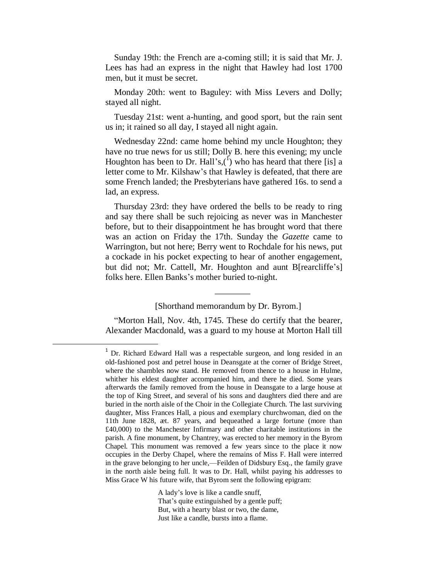Sunday 19th: the French are a-coming still; it is said that Mr. J. Lees has had an express in the night that Hawley had lost 1700 men, but it must be secret.

Monday 20th: went to Baguley: with Miss Levers and Dolly; stayed all night.

Tuesday 21st: went a-hunting, and good sport, but the rain sent us in; it rained so all day, I stayed all night again.

Wednesday 22nd: came home behind my uncle Houghton; they have no true news for us still; Dolly B. here this evening; my uncle Houghton has been to Dr. Hall's, $({}^{1})$  who has heard that there [is] a letter come to Mr. Kilshaw's that Hawley is defeated, that there are some French landed; the Presbyterians have gathered 16s. to send a lad, an express.

Thursday 23rd: they have ordered the bells to be ready to ring and say there shall be such rejoicing as never was in Manchester before, but to their disappointment he has brought word that there was an action on Friday the 17th. Sunday the *Gazette* came to Warrington, but not here; Berry went to Rochdale for his news, put a cockade in his pocket expecting to hear of another engagement, but did not; Mr. Cattell, Mr. Houghton and aunt B[rearcliffe's] folks here. Ellen Banks's mother buried to-night.

#### [Shorthand memorandum by Dr. Byrom.]

"Morton Hall, Nov. 4th, 1745. These do certify that the bearer, Alexander Macdonald, was a guard to my house at Morton Hall till

 $\overline{a}$ 

A lady"s love is like a candle snuff, That's quite extinguished by a gentle puff; But, with a hearty blast or two, the dame, Just like a candle, bursts into a flame.

<sup>&</sup>lt;sup>1</sup> Dr. Richard Edward Hall was a respectable surgeon, and long resided in an old-fashioned post and petrel house in Deansgate at the corner of Bridge Street, where the shambles now stand. He removed from thence to a house in Hulme, whither his eldest daughter accompanied him, and there he died. Some years afterwards the family removed from the house in Deansgate to a large house at the top of King Street, and several of his sons and daughters died there and are buried in the north aisle of the Choir in the Collegiate Church. The last surviving daughter, Miss Frances Hall, a pious and exemplary churchwoman, died on the 11th June 1828, æt. 87 years, and bequeathed a large fortune (more than £40,000) to the Manchester Infirmary and other charitable institutions in the parish. A fine monument, by Chantrey, was erected to her memory in the Byrom Chapel. This monument was removed a few years since to the place it now occupies in the Derby Chapel, where the remains of Miss F. Hall were interred in the grave belonging to her uncle,—Feilden of Didsbury Esq., the family grave in the north aisle being full. It was to Dr. Hall, whilst paying his addresses to Miss Grace W his future wife, that Byrom sent the following epigram: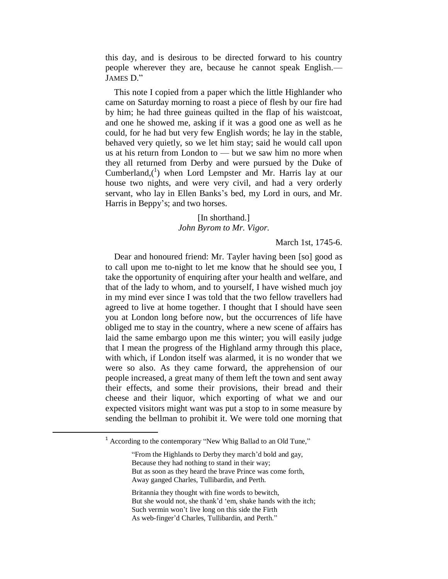this day, and is desirous to be directed forward to his country people wherever they are, because he cannot speak English.— JAMES D."

This note I copied from a paper which the little Highlander who came on Saturday morning to roast a piece of flesh by our fire had by him; he had three guineas quilted in the flap of his waistcoat, and one he showed me, asking if it was a good one as well as he could, for he had but very few English words; he lay in the stable, behaved very quietly, so we let him stay; said he would call upon us at his return from London to — but we saw him no more when they all returned from Derby and were pursued by the Duke of Cumberland, $(1)$  when Lord Lempster and Mr. Harris lay at our house two nights, and were very civil, and had a very orderly servant, who lay in Ellen Banks's bed, my Lord in ours, and Mr. Harris in Beppy's; and two horses.

### [In shorthand.] *John Byrom to Mr. Vigor.*

March 1st, 1745-6.

Dear and honoured friend: Mr. Tayler having been [so] good as to call upon me to-night to let me know that he should see you, I take the opportunity of enquiring after your health and welfare, and that of the lady to whom, and to yourself, I have wished much joy in my mind ever since I was told that the two fellow travellers had agreed to live at home together. I thought that I should have seen you at London long before now, but the occurrences of life have obliged me to stay in the country, where a new scene of affairs has laid the same embargo upon me this winter; you will easily judge that I mean the progress of the Highland army through this place, with which, if London itself was alarmed, it is no wonder that we were so also. As they came forward, the apprehension of our people increased, a great many of them left the town and sent away their effects, and some their provisions, their bread and their cheese and their liquor, which exporting of what we and our expected visitors might want was put a stop to in some measure by sending the bellman to prohibit it. We were told one morning that

 $\overline{a}$ 

"From the Highlands to Derby they march"d bold and gay, Because they had nothing to stand in their way; But as soon as they heard the brave Prince was come forth, Away ganged Charles, Tullibardin, and Perth.

Britannia they thought with fine words to bewitch, But she would not, she thank"d "em, shake hands with the itch; Such vermin won"t live long on this side the Firth As web-finger"d Charles, Tullibardin, and Perth."

<sup>1</sup> According to the contemporary "New Whig Ballad to an Old Tune,"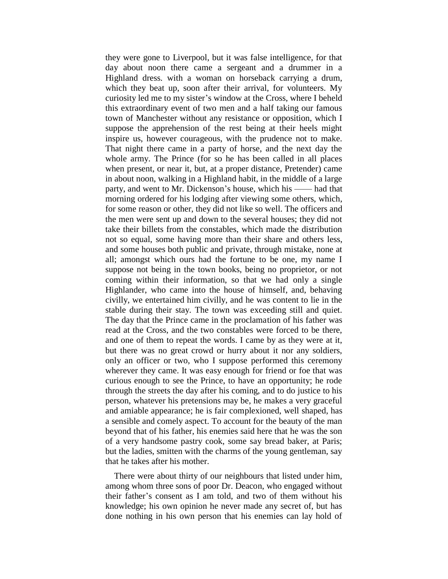they were gone to Liverpool, but it was false intelligence, for that day about noon there came a sergeant and a drummer in a Highland dress. with a woman on horseback carrying a drum, which they beat up, soon after their arrival, for volunteers. My curiosity led me to my sister"s window at the Cross, where I beheld this extraordinary event of two men and a half taking our famous town of Manchester without any resistance or opposition, which I suppose the apprehension of the rest being at their heels might inspire us, however courageous, with the prudence not to make. That night there came in a party of horse, and the next day the whole army. The Prince (for so he has been called in all places when present, or near it, but, at a proper distance, Pretender) came in about noon, walking in a Highland habit, in the middle of a large party, and went to Mr. Dickenson's house, which his —— had that morning ordered for his lodging after viewing some others, which, for some reason or other, they did not like so well. The officers and the men were sent up and down to the several houses; they did not take their billets from the constables, which made the distribution not so equal, some having more than their share and others less, and some houses both public and private, through mistake, none at all; amongst which ours had the fortune to be one, my name I suppose not being in the town books, being no proprietor, or not coming within their information, so that we had only a single Highlander, who came into the house of himself, and, behaving civilly, we entertained him civilly, and he was content to lie in the stable during their stay. The town was exceeding still and quiet. The day that the Prince came in the proclamation of his father was read at the Cross, and the two constables were forced to be there, and one of them to repeat the words. I came by as they were at it, but there was no great crowd or hurry about it nor any soldiers, only an officer or two, who I suppose performed this ceremony wherever they came. It was easy enough for friend or foe that was curious enough to see the Prince, to have an opportunity; he rode through the streets the day after his coming, and to do justice to his person, whatever his pretensions may be, he makes a very graceful and amiable appearance; he is fair complexioned, well shaped, has a sensible and comely aspect. To account for the beauty of the man beyond that of his father, his enemies said here that he was the son of a very handsome pastry cook, some say bread baker, at Paris; but the ladies, smitten with the charms of the young gentleman, say that he takes after his mother.

There were about thirty of our neighbours that listed under him, among whom three sons of poor Dr. Deacon, who engaged without their father"s consent as I am told, and two of them without his knowledge; his own opinion he never made any secret of, but has done nothing in his own person that his enemies can lay hold of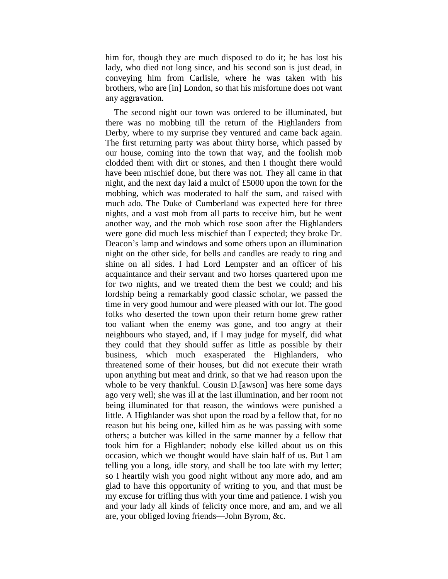him for, though they are much disposed to do it; he has lost his lady, who died not long since, and his second son is just dead, in conveying him from Carlisle, where he was taken with his brothers, who are [in] London, so that his misfortune does not want any aggravation.

The second night our town was ordered to be illuminated, but there was no mobbing till the return of the Highlanders from Derby, where to my surprise tbey ventured and came back again. The first returning party was about thirty horse, which passed by our house, coming into the town that way, and the foolish mob clodded them with dirt or stones, and then I thought there would have been mischief done, but there was not. They all came in that night, and the next day laid a mulct of £5000 upon the town for the mobbing, which was moderated to half the sum, and raised with much ado. The Duke of Cumberland was expected here for three nights, and a vast mob from all parts to receive him, but he went another way, and the mob which rose soon after the Highlanders were gone did much less mischief than I expected; they broke Dr. Deacon"s lamp and windows and some others upon an illumination night on the other side, for bells and candles are ready to ring and shine on all sides. I had Lord Lempster and an officer of his acquaintance and their servant and two horses quartered upon me for two nights, and we treated them the best we could; and his lordship being a remarkably good classic scholar, we passed the time in very good humour and were pleased with our lot. The good folks who deserted the town upon their return home grew rather too valiant when the enemy was gone, and too angry at their neighbours who stayed, and, if I may judge for myself, did what they could that they should suffer as little as possible by their business, which much exasperated the Highlanders, who threatened some of their houses, but did not execute their wrath upon anything but meat and drink, so that we had reason upon the whole to be very thankful. Cousin D.[awson] was here some days ago very well; she was ill at the last illumination, and her room not being illuminated for that reason, the windows were punished a little. A Highlander was shot upon the road by a fellow that, for no reason but his being one, killed him as he was passing with some others; a butcher was killed in the same manner by a fellow that took him for a Highlander; nobody else killed about us on this occasion, which we thought would have slain half of us. But I am telling you a long, idle story, and shall be too late with my letter; so I heartily wish you good night without any more ado, and am glad to have this opportunity of writing to you, and that must be my excuse for trifling thus with your time and patience. I wish you and your lady all kinds of felicity once more, and am, and we all are, your obliged loving friends—John Byrom, &c.